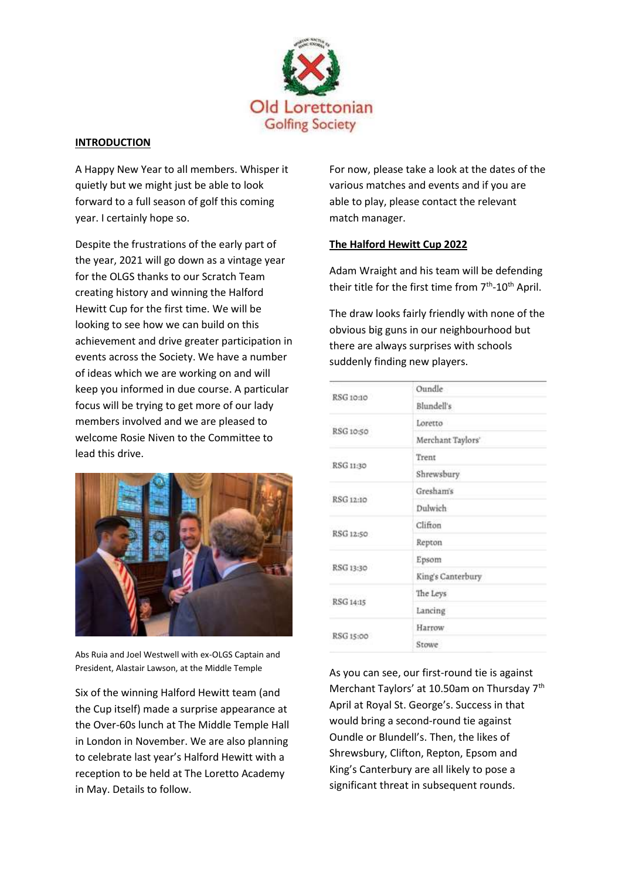

## **INTRODUCTION**

A Happy New Year to all members. Whisper it quietly but we might just be able to look forward to a full season of golf this coming year. I certainly hope so.

Despite the frustrations of the early part of the year, 2021 will go down as a vintage year for the OLGS thanks to our Scratch Team creating history and winning the Halford Hewitt Cup for the first time. We will be looking to see how we can build on this achievement and drive greater participation in events across the Society. We have a number of ideas which we are working on and will keep you informed in due course. A particular focus will be trying to get more of our lady members involved and we are pleased to welcome Rosie Niven to the Committee to lead this drive.



Abs Ruia and Joel Westwell with ex-OLGS Captain and President, Alastair Lawson, at the Middle Temple

Six of the winning Halford Hewitt team (and the Cup itself) made a surprise appearance at the Over-60s lunch at The Middle Temple Hall in London in November. We are also planning to celebrate last year's Halford Hewitt with a reception to be held at The Loretto Academy in May. Details to follow.

For now, please take a look at the dates of the various matches and events and if you are able to play, please contact the relevant match manager.

# **The Halford Hewitt Cup 2022**

Adam Wraight and his team will be defending their title for the first time from 7<sup>th</sup>-10<sup>th</sup> April.

The draw looks fairly friendly with none of the obvious big guns in our neighbourhood but there are always surprises with schools suddenly finding new players.

|           | Oundle            |  |
|-----------|-------------------|--|
| RSG 10:10 | Blundell's        |  |
| RSG 10:50 | Loretto           |  |
|           | Merchant Taylors' |  |
|           | Trent             |  |
| RSG 11:30 | Shrewsbury        |  |
| RSG 12:10 | Gresham's         |  |
|           | Dulwich           |  |
| RSG 12:50 | Clifton           |  |
|           | Repton            |  |
|           | Epsom             |  |
| RSG 13:30 | King's Canterbury |  |
| RSG 14:15 | The Leys          |  |
|           | Lancing           |  |
| RSG 15:00 | Harrow            |  |
|           | Stowe             |  |

As you can see, our first-round tie is against Merchant Taylors' at 10.50am on Thursday 7<sup>th</sup> April at Royal St. George's. Success in that would bring a second-round tie against Oundle or Blundell's. Then, the likes of Shrewsbury, Clifton, Repton, Epsom and King's Canterbury are all likely to pose a significant threat in subsequent rounds.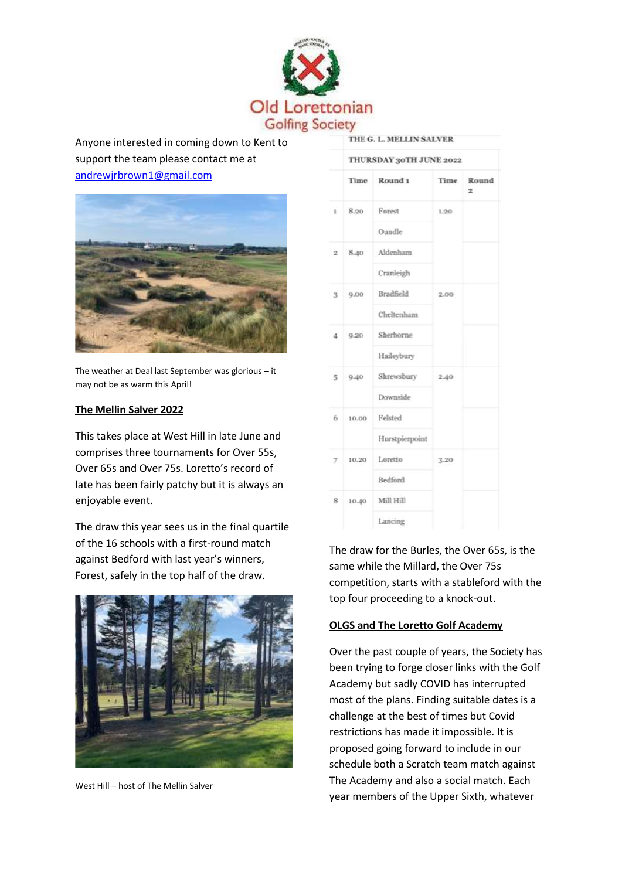

Anyone interested in coming down to Kent to support the team please contact me at [andrewjrbrown1@gmail.com](mailto:andrewjrbrown1@gmail.com)



The weather at Deal last September was glorious – it may not be as warm this April!

#### **The Mellin Salver 2022**

This takes place at West Hill in late June and comprises three tournaments for Over 55s, Over 65s and Over 75s. Loretto's record of late has been fairly patchy but it is always an enjoyable event.

The draw this year sees us in the final quartile of the 16 schools with a first-round match against Bedford with last year's winners, Forest, safely in the top half of the draw.



West Hill – host of The Mellin Salver

|                      | Time  | Round <sub>1</sub> | Time | Round<br>$\overline{\mathbf{z}}$ |  |  |
|----------------------|-------|--------------------|------|----------------------------------|--|--|
| $\mathbf{1}$         | 8.20  | Forest             | 1.20 |                                  |  |  |
|                      |       | Oundle             |      |                                  |  |  |
| $\overline{2}$       | 8.40  | Aldenham           |      |                                  |  |  |
|                      |       | Cranleigh          |      |                                  |  |  |
| 9.00<br>$\mathbf{3}$ |       | Bradfield          | 2.00 |                                  |  |  |
|                      |       | Cheltenham         |      |                                  |  |  |
| $\sim$               | 9.20  | Sherborne          |      |                                  |  |  |
|                      |       | Haileybury         |      |                                  |  |  |
| $5^{\circ}$          | 9.40  | Shrewsbury         | 2.40 |                                  |  |  |
|                      |       | Downside           |      |                                  |  |  |
| 6                    | 10.00 | Felsted            |      |                                  |  |  |
|                      |       | Hurstpierpoint     |      |                                  |  |  |
| 7                    | 10.20 | Loretto            | 3.20 |                                  |  |  |
|                      |       | Bedford            |      |                                  |  |  |
| 8                    | 10.40 | Mill Hill          |      |                                  |  |  |
|                      |       | Lancing            |      |                                  |  |  |

The draw for the Burles, the Over 65s, is the same while the Millard, the Over 75s competition, starts with a stableford with the top four proceeding to a knock-out.

## **OLGS and The Loretto Golf Academy**

Over the past couple of years, the Society has been trying to forge closer links with the Golf Academy but sadly COVID has interrupted most of the plans. Finding suitable dates is a challenge at the best of times but Covid restrictions has made it impossible. It is proposed going forward to include in our schedule both a Scratch team match against The Academy and also a social match. Each year members of the Upper Sixth, whatever